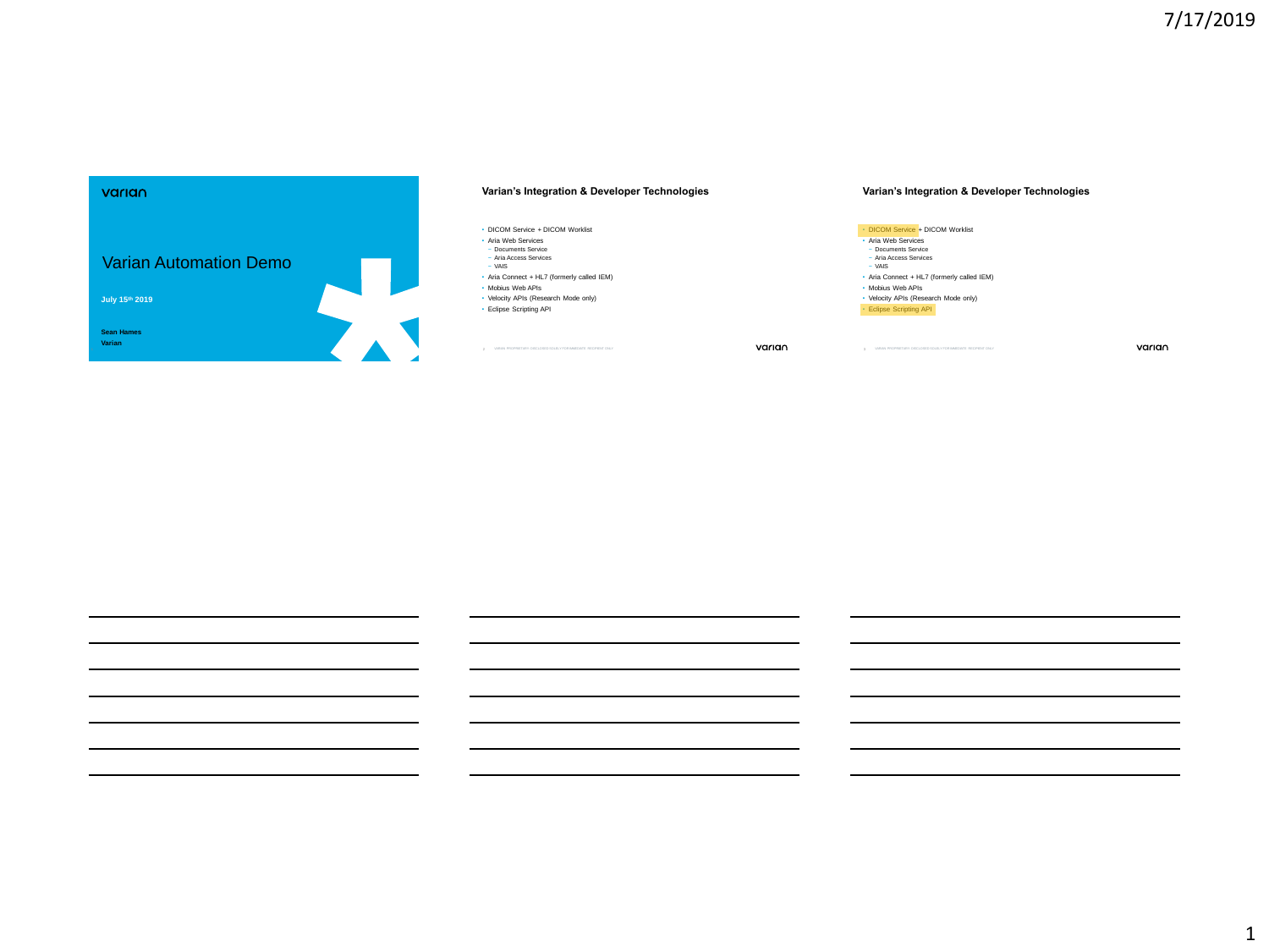# varian Varian Automation Demo **1 July 15th 2019 Sean Hames Varian**

## **Varian's Integration & Developer Technologies**

#### • DICOM Service + DICOM Worklist

- Aria Web Services
- − Documents Service − Aria Access Services − VAIS
- Aria Connect + HL7 (formerly called IEM)
- Mobius Web APIs
- Velocity APIs (Research Mode only)
- Eclipse Scripting API

2 VARIAN PROPRIETARY: DISCLOSED SOLELY FOR IMMEDIATE RECIPIENT ONLY CHANGED AT A CHANGED TO LY CHANGED AT A CHANGED AT A CHANGED AT A CHANGED AND TO LY CHANGED AT A CHANGED AT A CHANGED AT A CHANGED AT A CHANGED AT A CHANG

## **Varian's Integration & Developer Technologies**

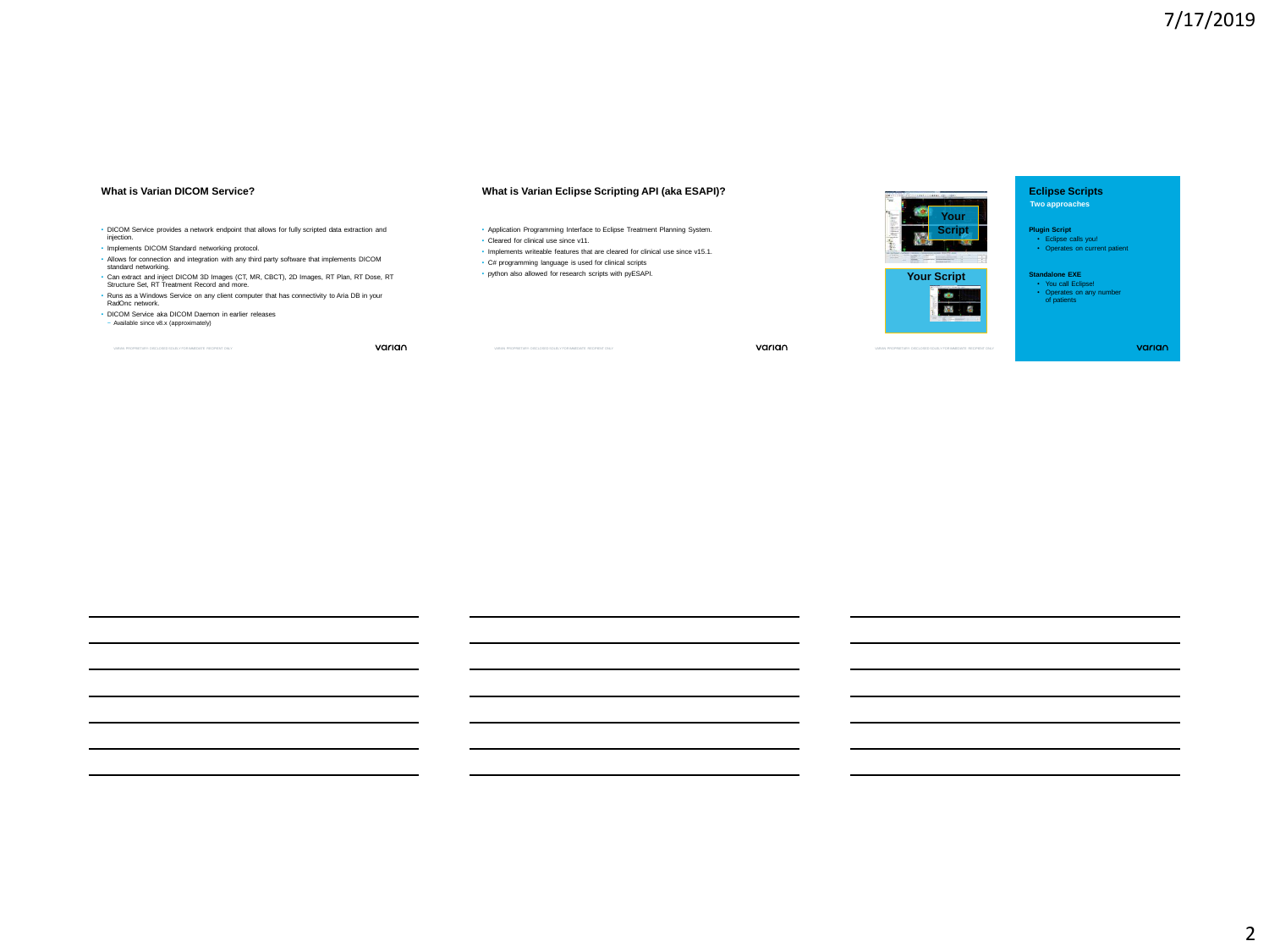#### **What is Varian DICOM Service?**

## **What is Varian Eclipse Scripting API (aka ESAPI)?**

- DICOM Service provides a network endpoint that allows for fully scripted data extraction and injection.
- Implements DICOM Standard networking protocol.
- Allows for connection and integration with any third party software that implements DICOM standard networking.
- Can extract and inject DICOM 3D Images (CT, MR, CBCT), 2D Images, RT Plan, RT Dose, RT Structure Set, RT Treatment Record and more. • Runs as a Windows Service on any client computer that has connectivity to Aria DB in your
- RadOnc network.
- DICOM Service aka DICOM Daemon in earlier releases
- − Available since v8.x (approximately)

varian

• Application Programming Interface to Eclipse Treatment Planning System. • Cleared for clinical use since v11.

- Implements writeable features that are cleared for clinical use since v15.1.
- C# programming language is used for clinical scripts
- python also allowed for research scripts with pyESAPI.

varian



**Eclipse Scripts Two approaches**

**Plugin Script** • Eclipse calls you! • Operates on current patient

**Standalone EXE** • You call Eclipse! • Operates on any number of patients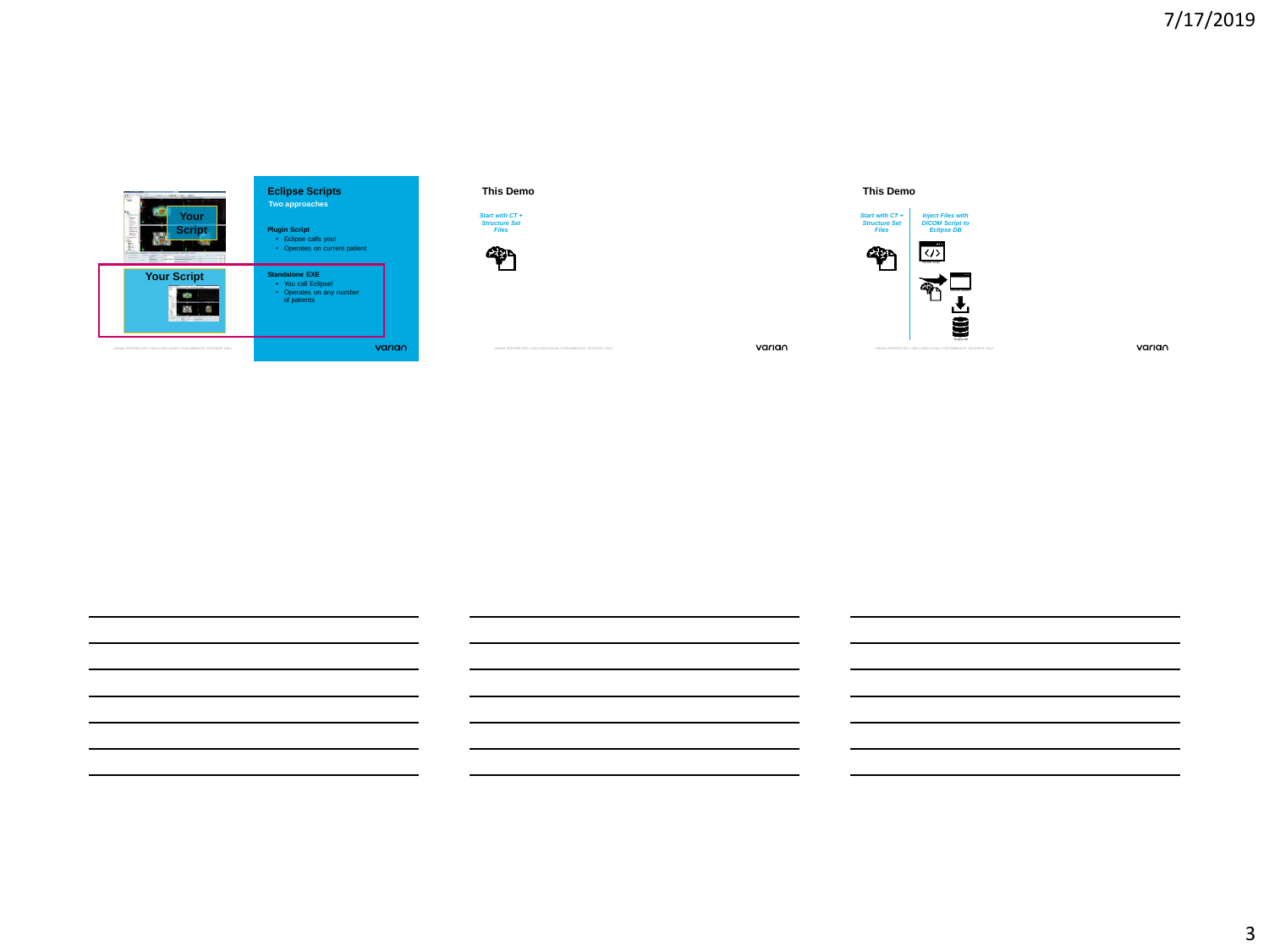







**This Demo**

varian



varian

3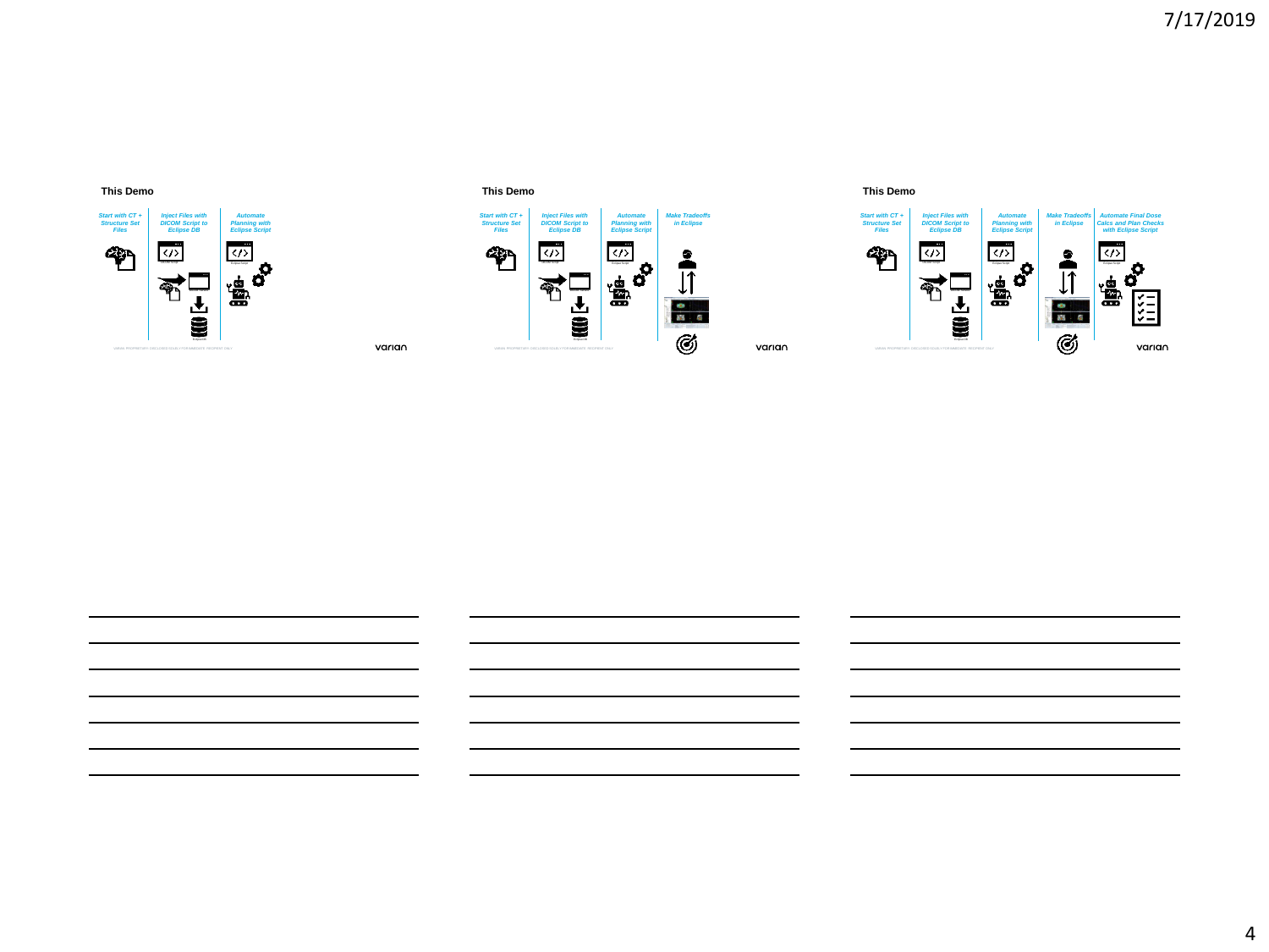# **This Demo**









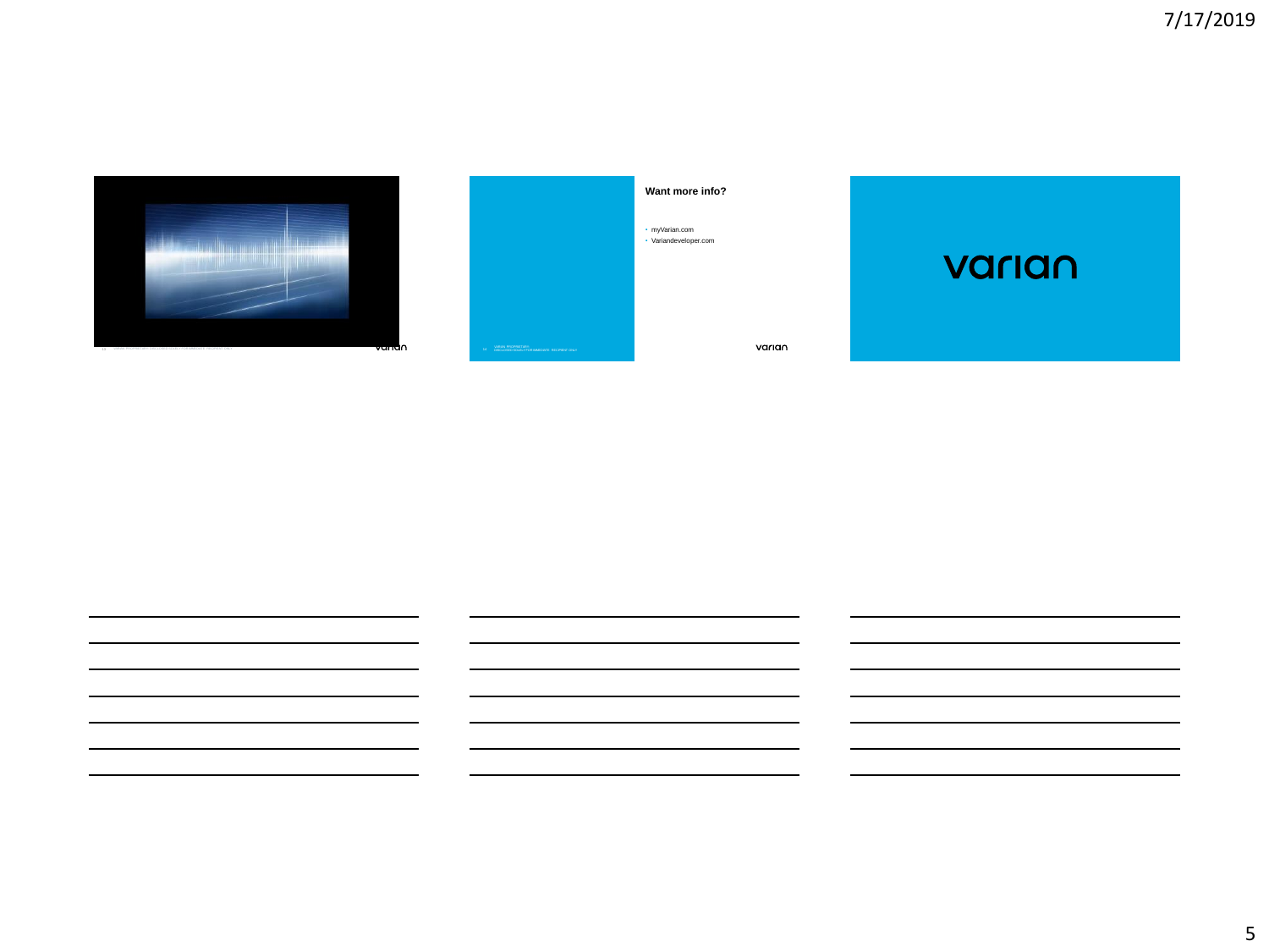



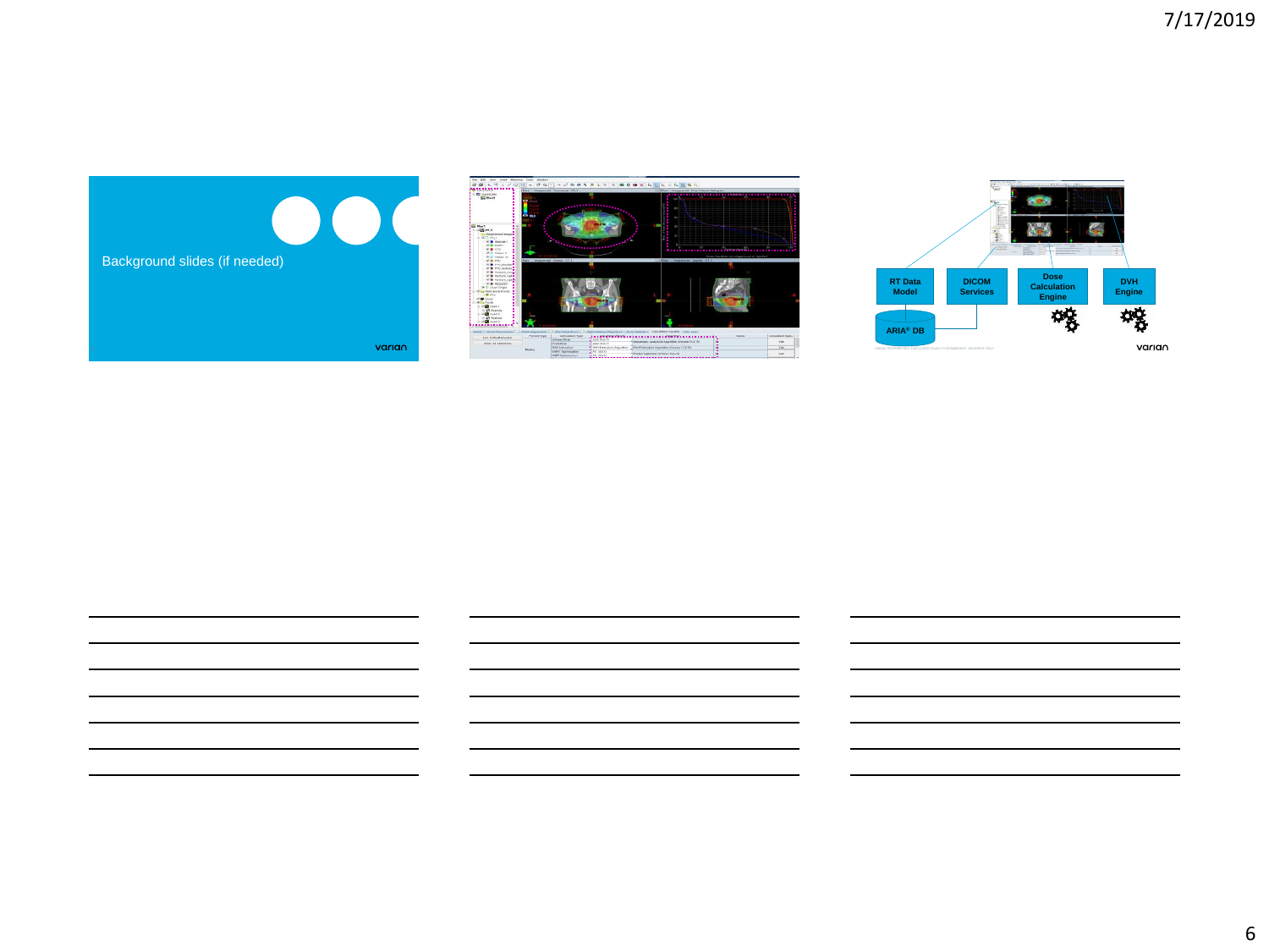



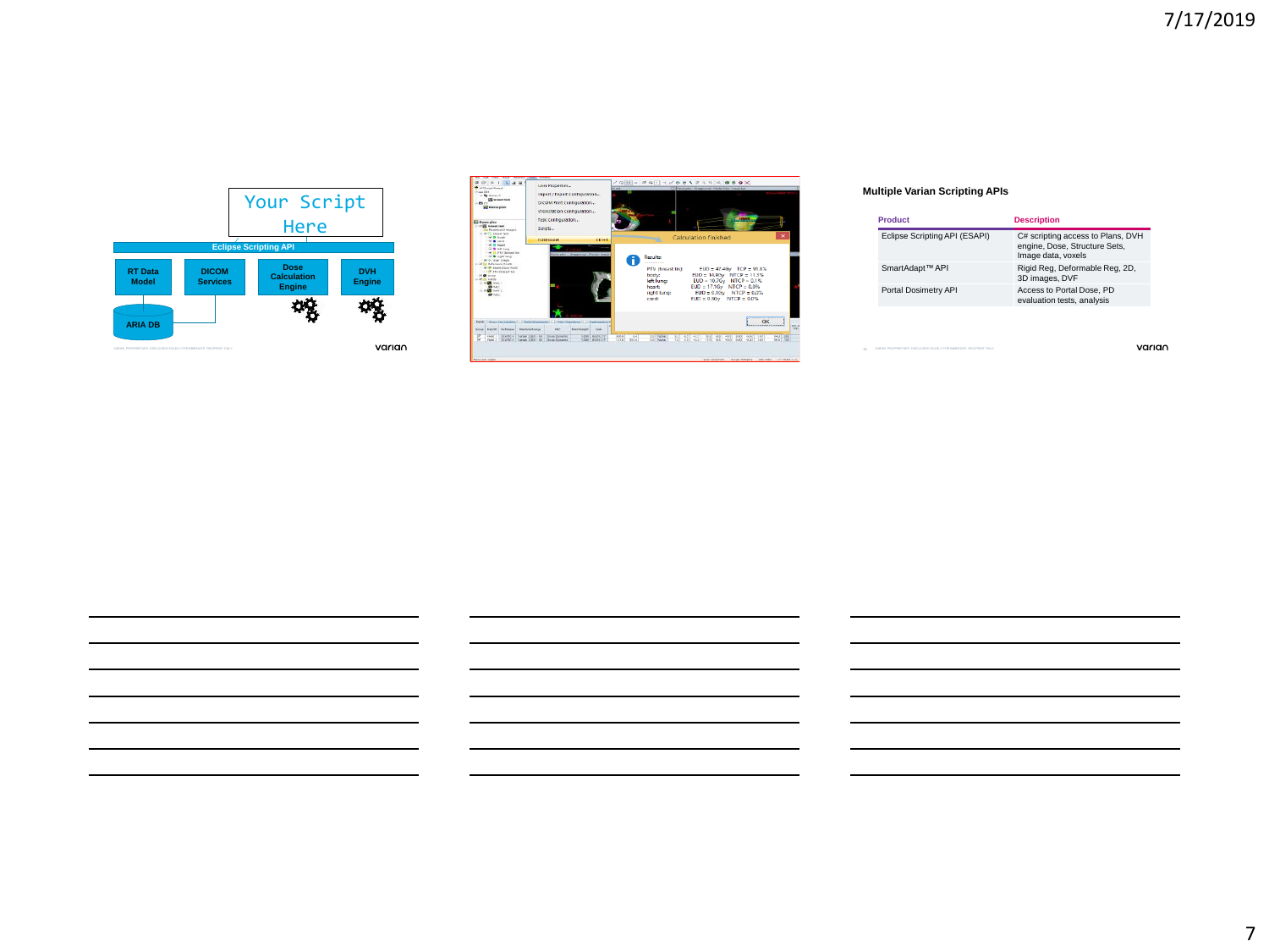



## **Multiple Varian Scripting APIs**

| Product                       | <b>Description</b>                                                                       |
|-------------------------------|------------------------------------------------------------------------------------------|
| Eclipse Scripting API (ESAPI) | C# scripting access to Plans, DVH<br>engine, Dose, Structure Sets,<br>Image data, voxels |
| SmartAdapt™ API               | Rigid Reg, Deformable Reg, 2D,<br>3D images, DVF                                         |
| Portal Dosimetry API          | Access to Portal Dose, PD<br>evaluation tests, analysis                                  |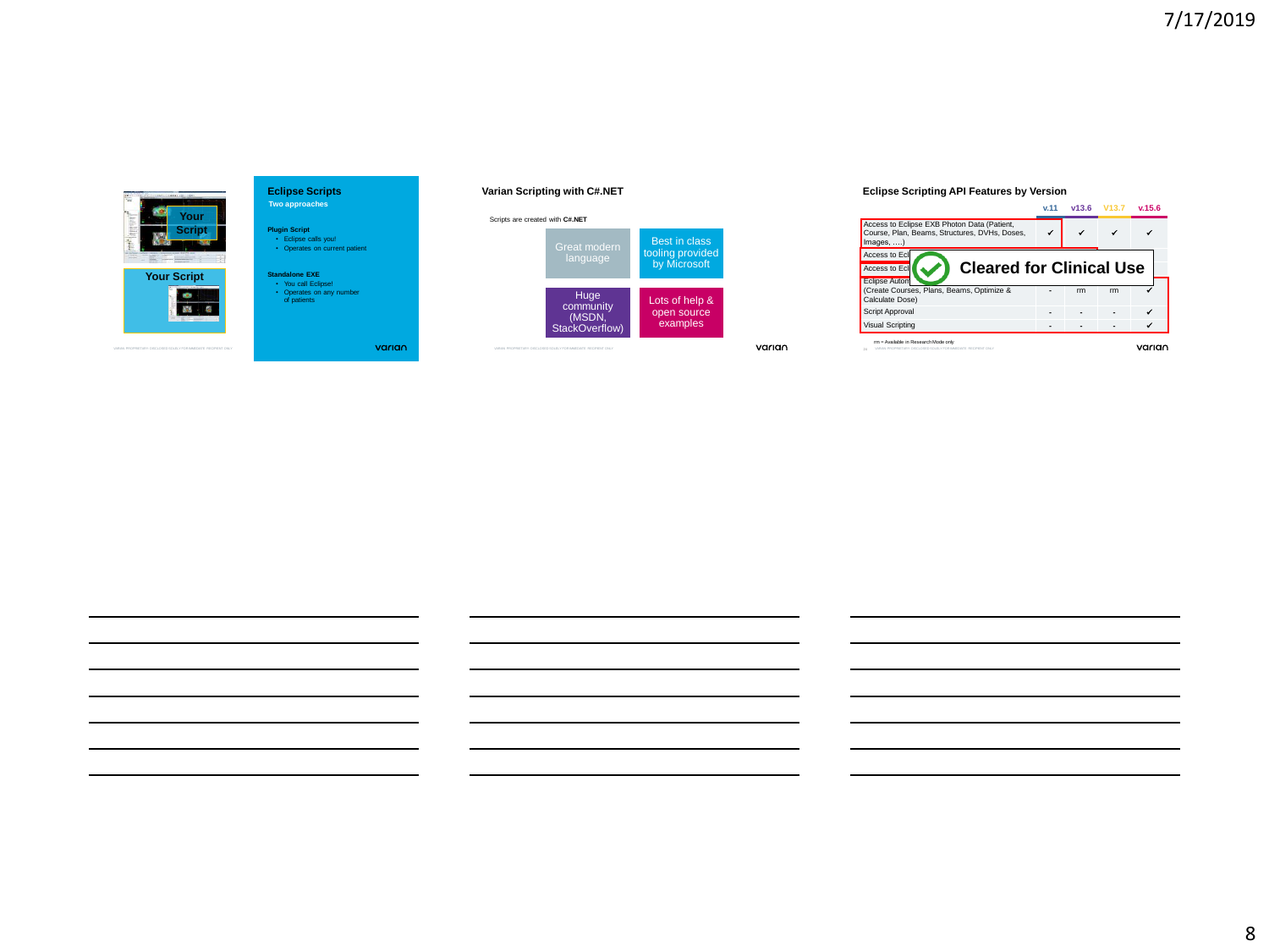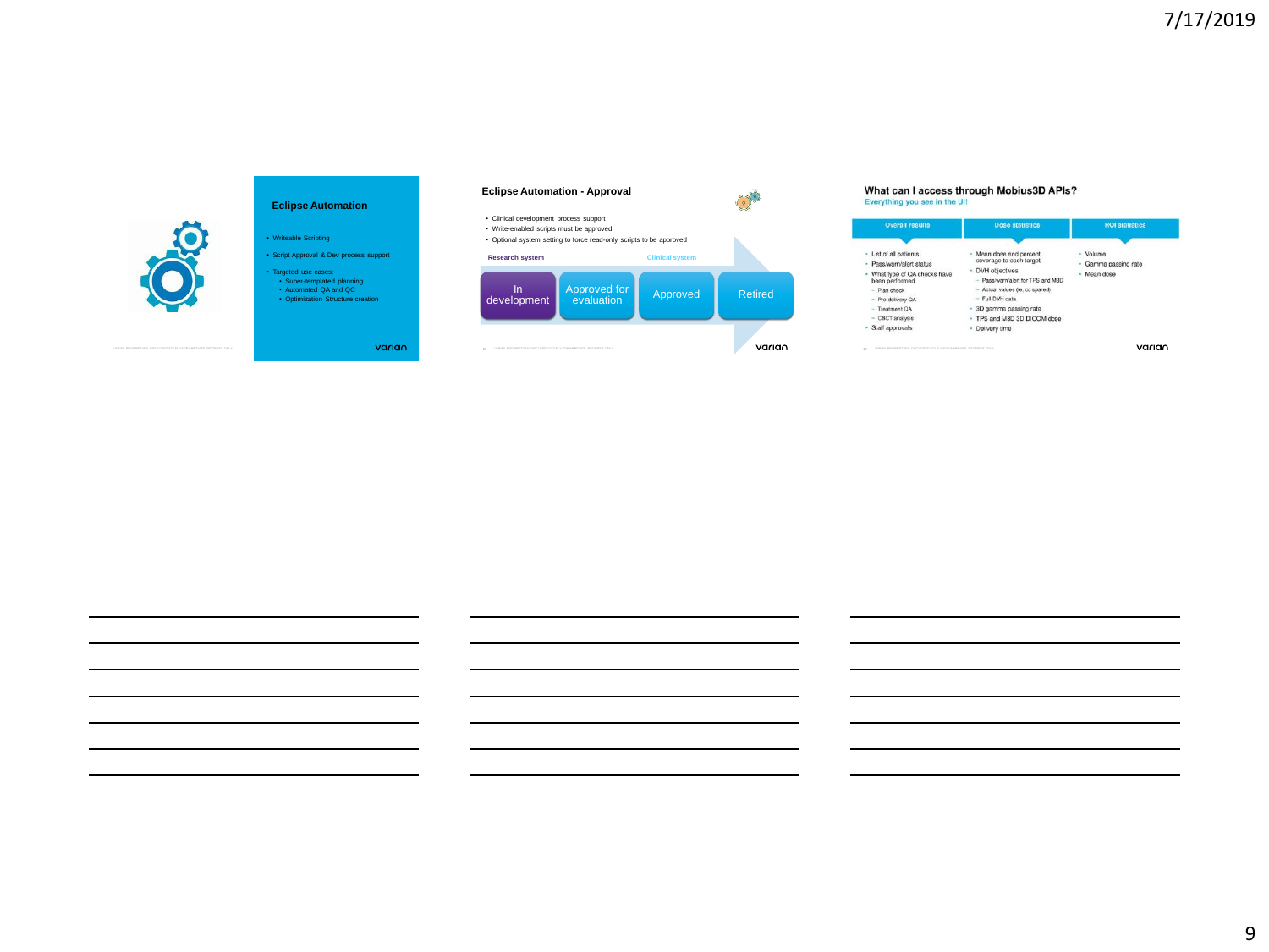

## **Eclipse Automation**

• Writeable Scripting • Script Approval & Dev process support

• Targeted use cases: • Super-templated planning • Automated QA and QC • Optimization Structure creation

varian



# **What can I access through Mobius3D APIs?**<br>Everything you see in the UI!

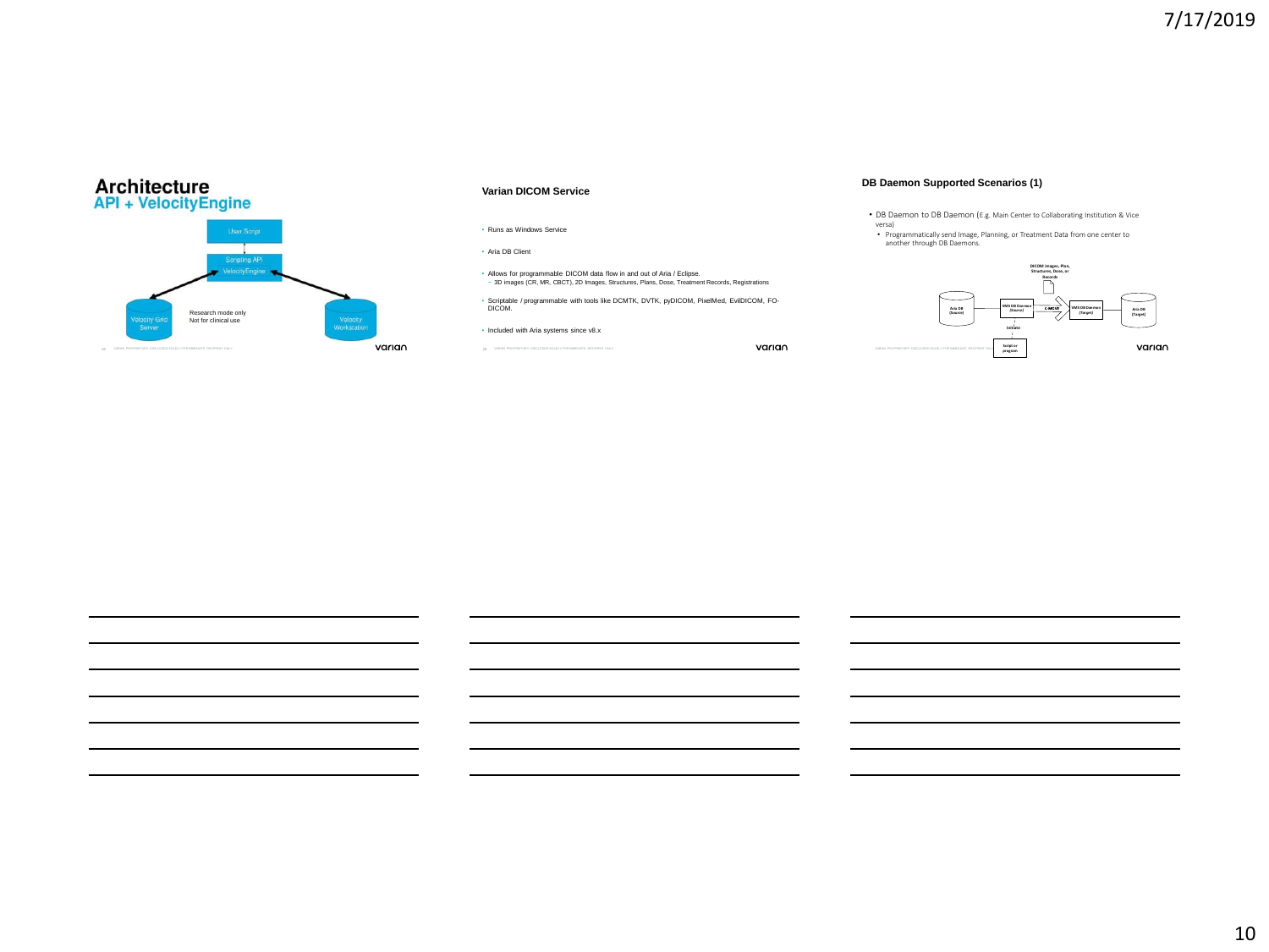

#### **Varian DICOM Service**

• Runs as Windows Service

• Aria DB Client

• Allows for programmable DICOM data flow in and out of Aria / Eclipse. − 3D images (CR, MR, CBCT), 2D Images, Structures, Plans, Dose, Treatment Records, Registrations

• Scriptable / programmable with tools like DCMTK, DVTK, pyDICOM, PixelMed, EvilDICOM, FO-DICOM.

• Included with Aria systems since v8.x

29 VARIAN PROPRIETARY: DISCLOSED SOLELY FOR IMMEDIATE RECIPIENT ONLY VARIAN PROPRIETARY: DISCLOSED SOLELY FOR IMMEDIATE RECIPIENT ONLY

#### **DB Daemon Supported Scenarios (1)**

• DB Daemon to DB Daemon (E.g. Main Center to Collaborating Institution & Vice

versa) • Programmatically send Image, Planning, or Treatment Data from one center to another through DB Daemons.

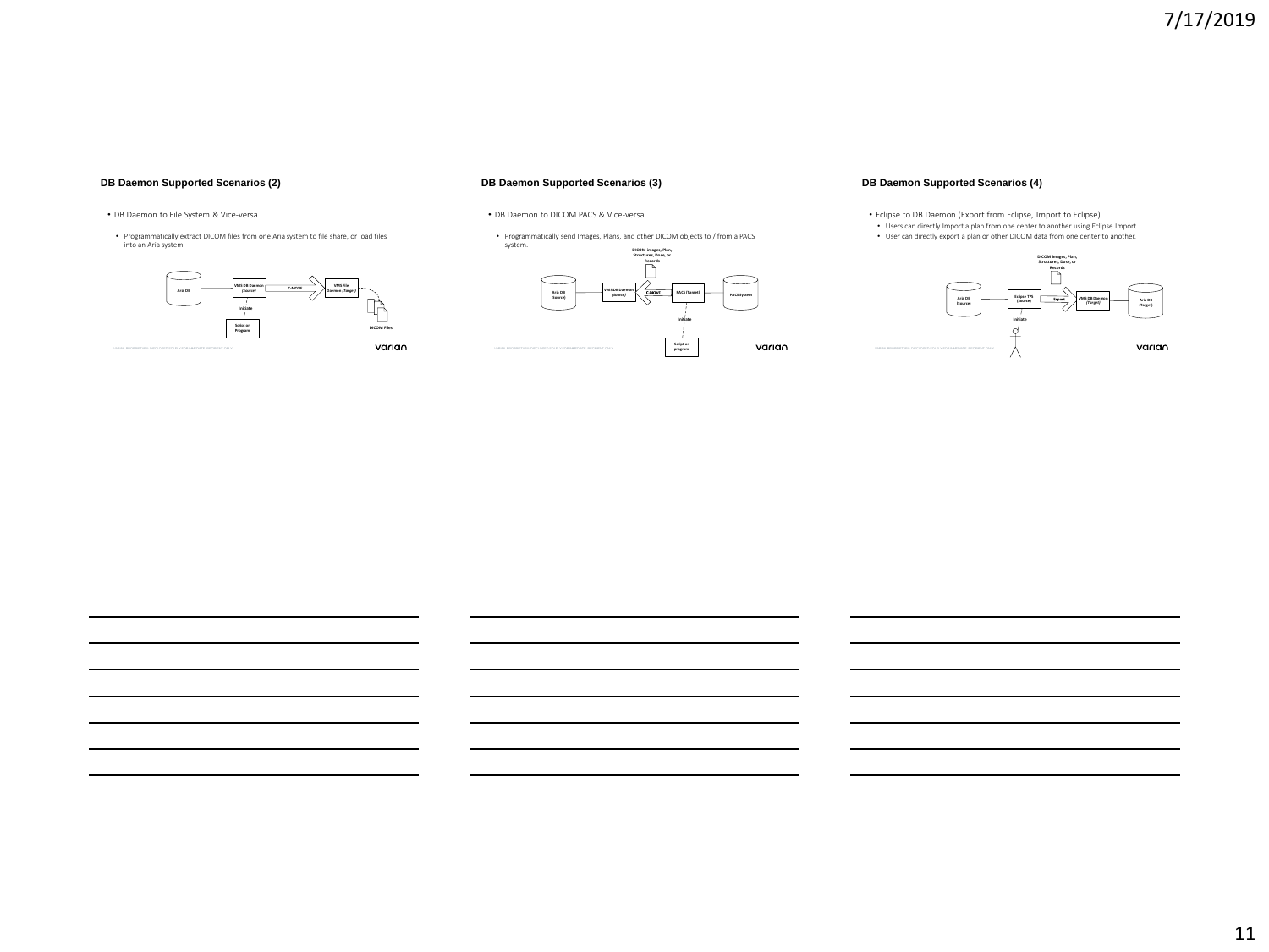## **DB Daemon Supported Scenarios (2)**

## **DB Daemon Supported Scenarios (3)**

- DB Daemon to File System & Vice-versa
- Programmatically extract DICOM files from one Aria system to file share, or load files into an Aria system.







• Programmatically send Images, Plans, and other DICOM objects to / from a PACS system.



## **DB Daemon Supported Scenarios (4)**

• Eclipse to DB Daemon (Export from Eclipse, Import to Eclipse). • Users can directly Import a plan from one center to another using Eclipse Import. • User can directly export a plan or other DICOM data from one center to another.



11